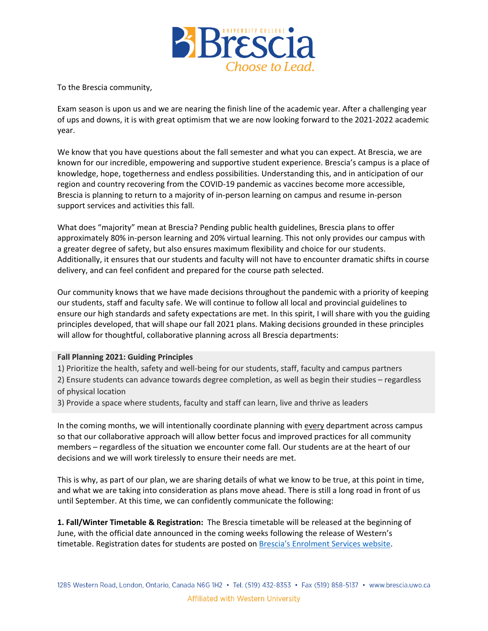

To the Brescia community,

Exam season is upon us and we are nearing the finish line of the academic year. After a challenging year of ups and downs, it is with great optimism that we are now looking forward to the 2021-2022 academic year.

We know that you have questions about the fall semester and what you can expect. At Brescia, we are known for our incredible, empowering and supportive student experience. Brescia's campus is a place of knowledge, hope, togetherness and endless possibilities. Understanding this, and in anticipation of our region and country recovering from the COVID-19 pandemic as vaccines become more accessible, Brescia is planning to return to a majority of in-person learning on campus and resume in-person support services and activities this fall.

What does "majority" mean at Brescia? Pending public health guidelines, Brescia plans to offer approximately 80% in-person learning and 20% virtual learning. This not only provides our campus with a greater degree of safety, but also ensures maximum flexibility and choice for our students. Additionally, it ensures that our students and faculty will not have to encounter dramatic shifts in course delivery, and can feel confident and prepared for the course path selected.

Our community knows that we have made decisions throughout the pandemic with a priority of keeping our students, staff and faculty safe. We will continue to follow all local and provincial guidelines to ensure our high standards and safety expectations are met. In this spirit, I will share with you the guiding principles developed, that will shape our fall 2021 plans. Making decisions grounded in these principles will allow for thoughtful, collaborative planning across all Brescia departments:

## **Fall Planning 2021: Guiding Principles**

1) Prioritize the health, safety and well-being for our students, staff, faculty and campus partners 2) Ensure students can advance towards degree completion, as well as begin their studies – regardless of physical location

3) Provide a space where students, faculty and staff can learn, live and thrive as leaders

In the coming months, we will intentionally coordinate planning with every department across campus so that our collaborative approach will allow better focus and improved practices for all community members – regardless of the situation we encounter come fall. Our students are at the heart of our decisions and we will work tirelessly to ensure their needs are met.

This is why, as part of our plan, we are sharing details of what we know to be true, at this point in time, and what we are taking into consideration as plans move ahead. There is still a long road in front of us until September. At this time, we can confidently communicate the following:

**1. Fall/Winter Timetable & Registration:** The Brescia timetable will be released at the beginning of June, with the official date announced in the coming weeks following the release of Western's timetable. Registration dates for students are posted on [Brescia's Enrolment Services website](https://brescia.uwo.ca/enrolment_services/academics/courses_enrolment/fall_winter_courses.php).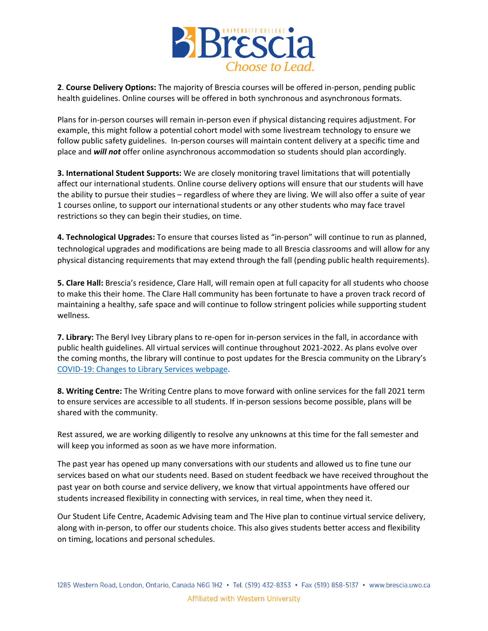

**2**. **Course Delivery Options:** The majority of Brescia courses will be offered in-person, pending public health guidelines. Online courses will be offered in both synchronous and asynchronous formats.

Plans for in-person courses will remain in-person even if physical distancing requires adjustment. For example, this might follow a potential cohort model with some livestream technology to ensure we follow public safety guidelines. In-person courses will maintain content delivery at a specific time and place and *will not* offer online asynchronous accommodation so students should plan accordingly.

**3. International Student Supports:** We are closely monitoring travel limitations that will potentially affect our international students. Online course delivery options will ensure that our students will have the ability to pursue their studies – regardless of where they are living. We will also offer a suite of year 1 courses online, to support our international students or any other students who may face travel restrictions so they can begin their studies, on time.

**4. Technological Upgrades:** To ensure that courses listed as "in-person" will continue to run as planned, technological upgrades and modifications are being made to all Brescia classrooms and will allow for any physical distancing requirements that may extend through the fall (pending public health requirements).

**5. Clare Hall:** Brescia's residence, Clare Hall, will remain open at full capacity for all students who choose to make this their home. The Clare Hall community has been fortunate to have a proven track record of maintaining a healthy, safe space and will continue to follow stringent policies while supporting student wellness.

**7. Library:** The Beryl Ivey Library plans to re-open for in-person services in the fall, in accordance with public health guidelines. All virtual services will continue throughout 2021-2022. As plans evolve over the coming months, the library will continue to post updates for the Brescia community on the Library's [COVID-19: Changes to Library Services webpage.](https://brescia.uwo.ca/library/covid19/index.php)

**8. Writing Centre:** The Writing Centre plans to move forward with online services for the fall 2021 term to ensure services are accessible to all students. If in-person sessions become possible, plans will be shared with the community.

Rest assured, we are working diligently to resolve any unknowns at this time for the fall semester and will keep you informed as soon as we have more information.

The past year has opened up many conversations with our students and allowed us to fine tune our services based on what our students need. Based on student feedback we have received throughout the past year on both course and service delivery, we know that virtual appointments have offered our students increased flexibility in connecting with services, in real time, when they need it.

Our Student Life Centre, Academic Advising team and The Hive plan to continue virtual service delivery, along with in-person, to offer our students choice. This also gives students better access and flexibility on timing, locations and personal schedules.